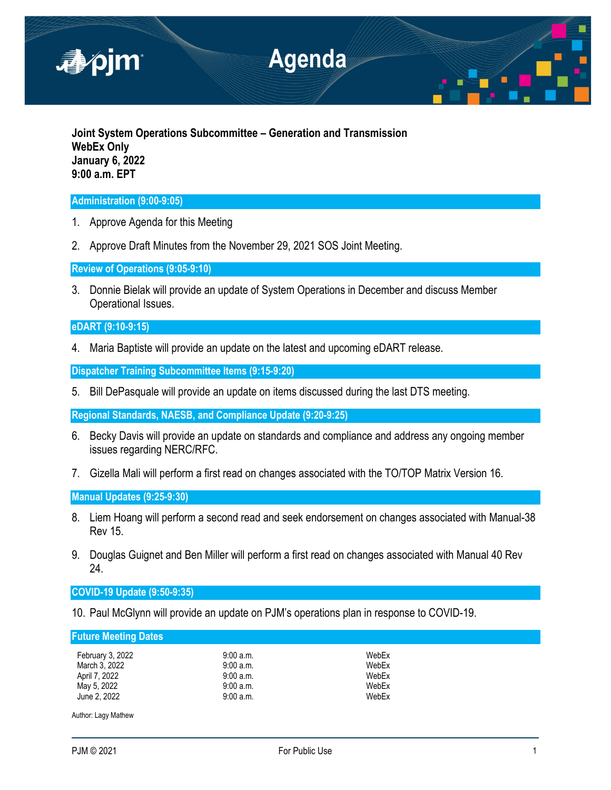

**Joint System Operations Subcommittee – Generation and Transmission WebEx Only January 6, 2022 9:00 a.m. EPT**

## **Administration (9:00-9:05)**

- 1. Approve Agenda for this Meeting
- 2. Approve Draft Minutes from the November 29, 2021 SOS Joint Meeting.

**Review of Operations (9:05-9:10)**

3. Donnie Bielak will provide an update of System Operations in December and discuss Member Operational Issues.

# **eDART (9:10-9:15)**

4. Maria Baptiste will provide an update on the latest and upcoming eDART release.

**Dispatcher Training Subcommittee Items (9:15-9:20)**

5. Bill DePasquale will provide an update on items discussed during the last DTS meeting.

**Regional Standards, NAESB, and Compliance Update (9:20-9:25)**

- 6. Becky Davis will provide an update on standards and compliance and address any ongoing member issues regarding NERC/RFC.
- 7. Gizella Mali will perform a first read on changes associated with the TO/TOP Matrix Version 16.

**Manual Updates (9:25-9:30)**

- 8. Liem Hoang will perform a second read and seek endorsement on changes associated with Manual-38 Rev 15.
- 9. Douglas Guignet and Ben Miller will perform a first read on changes associated with Manual 40 Rev 24.

**COVID-19 Update (9:50-9:35)**

10. Paul McGlynn will provide an update on PJM's operations plan in response to COVID-19.

**Future Meeting Dates**

| February 3, 2022 | 9:00 a.m. | WebEx |
|------------------|-----------|-------|
| March 3. 2022    | 9:00a.m.  | WebEx |
| April 7, 2022    | 9:00a.m.  | WebEx |
| May 5, 2022      | 9:00a.m.  | WebEx |
| June 2, 2022     | 9:00a.m.  | WebEx |

Author: Lagy Mathew